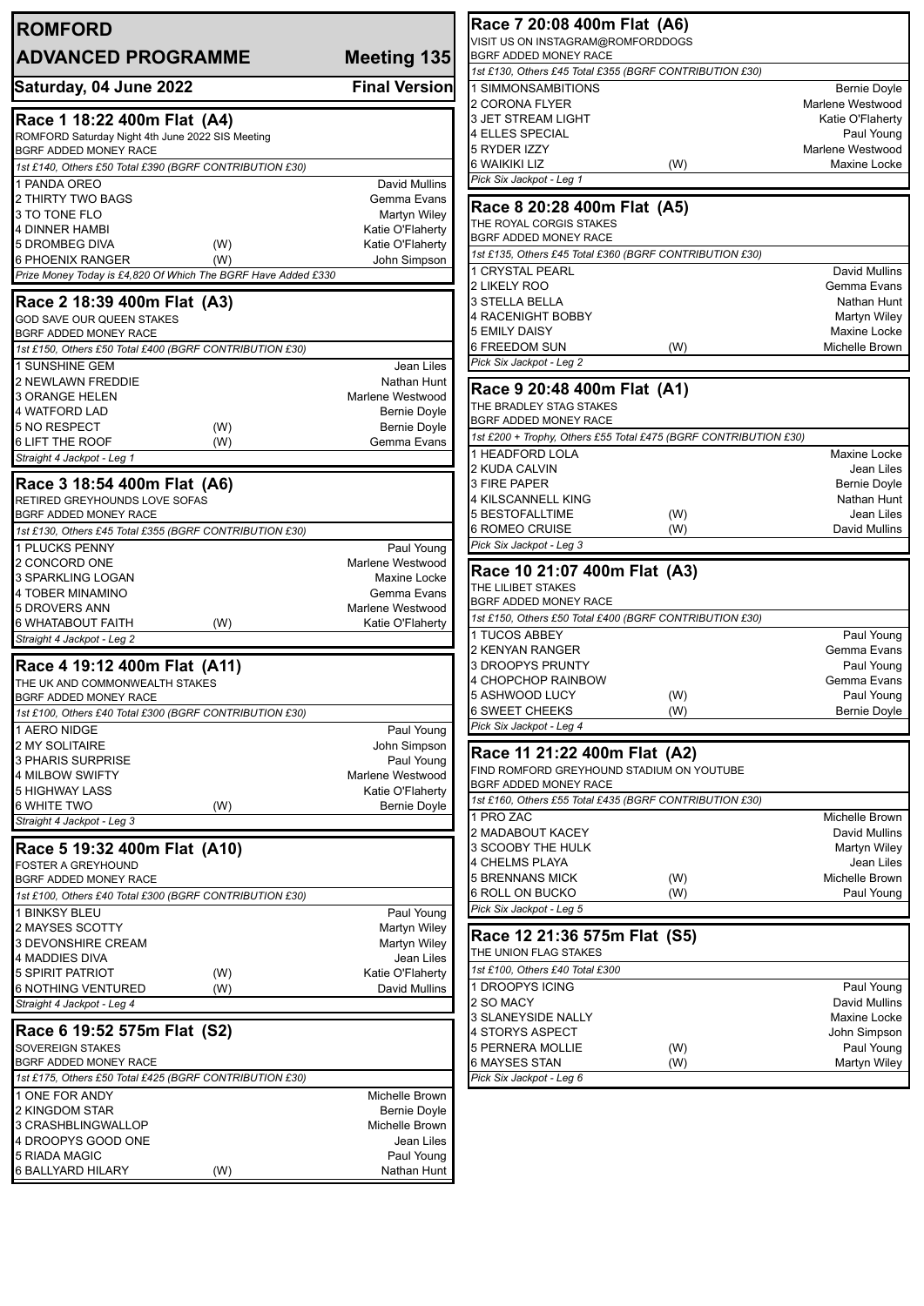| <b>ROMFORD</b>                                                                |                                         | Race 7 20:08 400m Flat (A6)                                                      |     |
|-------------------------------------------------------------------------------|-----------------------------------------|----------------------------------------------------------------------------------|-----|
|                                                                               |                                         | VISIT US ON INSTAGRAM@ROMFORDDOGS                                                |     |
| <b>ADVANCED PROGRAMME</b>                                                     | <b>Meeting 135</b>                      | BGRF ADDED MONEY RACE<br>1st £130, Others £45 Total £355 (BGRF CONTRIBUTION £30) |     |
| Saturday, 04 June 2022                                                        | <b>Final Version</b>                    | 1 SIMMONSAMBITIONS                                                               |     |
|                                                                               |                                         | 2 CORONA FLYER                                                                   |     |
| Race 1 18:22 400m Flat (A4)                                                   |                                         | <b>3 JET STREAM LIGHT</b>                                                        |     |
| ROMFORD Saturday Night 4th June 2022 SIS Meeting                              |                                         | <b>4 ELLES SPECIAL</b>                                                           |     |
| BGRF ADDED MONEY RACE                                                         |                                         | 5 RYDER IZZY<br>6 WAIKIKI LIZ                                                    | (W) |
| 1st £140, Others £50 Total £390 (BGRF CONTRIBUTION £30)                       |                                         | Pick Six Jackpot - Leg 1                                                         |     |
| 1 PANDA OREO<br>2 THIRTY TWO BAGS                                             | David Mullins<br>Gemma Evans            |                                                                                  |     |
| 3 TO TONE FLO                                                                 | Martyn Wiley                            | Race 8 20:28 400m Flat (A5)                                                      |     |
| 4 DINNER HAMBI                                                                | Katie O'Flaherty                        | THE ROYAL CORGIS STAKES                                                          |     |
| <b>5 DROMBEG DIVA</b><br>(W)                                                  | Katie O'Flaherty                        | BGRF ADDED MONEY RACE                                                            |     |
| 6 PHOENIX RANGER<br>(W)                                                       | John Simpson                            | 1st £135, Others £45 Total £360 (BGRF CONTRIBUTION £30)<br>1 CRYSTAL PEARL       |     |
| Prize Money Today is £4,820 Of Which The BGRF Have Added £330                 |                                         | 2 LIKELY ROO                                                                     |     |
| Race 2 18:39 400m Flat (A3)                                                   |                                         | 3 STELLA BELLA                                                                   |     |
| <b>GOD SAVE OUR QUEEN STAKES</b>                                              |                                         | 4 RACENIGHT BOBBY                                                                |     |
| BGRF ADDED MONEY RACE                                                         |                                         | 5 EMILY DAISY                                                                    |     |
| 1st £150, Others £50 Total £400 (BGRF CONTRIBUTION £30)                       |                                         | 6 FREEDOM SUN                                                                    |     |
| 1 SUNSHINE GEM                                                                | Jean Liles                              | Pick Six Jackpot - Leg 2                                                         |     |
| 2 NEWLAWN FREDDIE                                                             | Nathan Hunt                             | Race 9 20:48 400m Flat (A1)                                                      |     |
| 3 ORANGE HELEN<br>4 WATFORD LAD                                               | Marlene Westwood<br><b>Bernie Doyle</b> | THE BRADLEY STAG STAKES                                                          |     |
| 5 NO RESPECT<br>(W)                                                           | <b>Bernie Doyle</b>                     | BGRF ADDED MONEY RACE                                                            |     |
| <b>6 LIFT THE ROOF</b><br>(W)                                                 | Gemma Evans                             | 1st £200 + Trophy, Others £55 Total £475 (BGRF CONTRIBUTION £30)                 |     |
| Straight 4 Jackpot - Leg 1                                                    |                                         | 1 HEADFORD LOLA                                                                  |     |
|                                                                               |                                         | 2 KUDA CALVIN<br><b>3 FIRE PAPER</b>                                             |     |
| Race 3 18:54 400m Flat (A6)<br>RETIRED GREYHOUNDS LOVE SOFAS                  |                                         | 4 KILSCANNELL KING                                                               |     |
| BGRF ADDED MONEY RACE                                                         |                                         | <b>5 BESTOFALLTIME</b>                                                           |     |
| 1st £130, Others £45 Total £355 (BGRF CONTRIBUTION £30)                       |                                         | 6 ROMEO CRUISE                                                                   |     |
| 1 PLUCKS PENNY                                                                | Paul Young                              | Pick Six Jackpot - Leg 3                                                         |     |
| 2 CONCORD ONE                                                                 | Marlene Westwood                        | Race 10 21:07 400m Flat (A3)                                                     |     |
| 3 SPARKLING LOGAN                                                             | Maxine Locke                            | THE LILIBET STAKES                                                               |     |
| 4 TOBER MINAMINO                                                              | Gemma Evans                             | BGRF ADDED MONEY RACE                                                            |     |
| 5 DROVERS ANN<br><b>6 WHATABOUT FAITH</b><br>(W)                              | Marlene Westwood<br>Katie O'Flaherty    | 1st £150, Others £50 Total £400 (BGRF CONTRIBUTION £30)                          |     |
| Straight 4 Jackpot - Leg 2                                                    |                                         | 1 TUCOS ABBEY                                                                    |     |
|                                                                               |                                         | 2 KENYAN RANGER                                                                  |     |
| Race 4 19:12 400m Flat (A11)                                                  |                                         | 3 DROOPYS PRUNTY                                                                 |     |
| THE UK AND COMMONWEALTH STAKES<br><b>BGRF ADDED MONEY RACE</b>                |                                         | 4 CHOPCHOP RAINBOW<br>5 ASHWOOD LUCY                                             |     |
| 1st £100, Others £40 Total £300 (BGRF CONTRIBUTION £30)                       |                                         | <b>6 SWEET CHEEKS</b>                                                            |     |
| 1 AERO NIDGE                                                                  | Paul Young                              | Pick Six Jackpot - Leg 4                                                         |     |
| 2 MY SOLITAIRE                                                                | John Simpson                            |                                                                                  |     |
| <b>3 PHARIS SURPRISE</b>                                                      | Paul Young                              | Race 11 21:22 400m Flat (A2)                                                     |     |
| <b>4 MILBOW SWIFTY</b>                                                        | Marlene Westwood                        | FIND ROMFORD GREYHOUND STADIUM ON YOUTUBE<br>BGRF ADDED MONEY RACE               |     |
| <b>5 HIGHWAY LASS</b>                                                         | Katie O'Flaherty                        | 1st £160, Others £55 Total £435 (BGRF CONTRIBUTION £30)                          |     |
| <b>6 WHITE TWO</b><br>(W)<br>Straight 4 Jackpot - Leg 3                       | Bernie Doyle                            | 1 PRO ZAC                                                                        |     |
|                                                                               |                                         | 2 MADABOUT KACEY                                                                 |     |
| Race 5 19:32 400m Flat (A10)                                                  |                                         | 3 SCOOBY THE HULK                                                                |     |
| <b>FOSTER A GREYHOUND</b>                                                     |                                         | 4 CHELMS PLAYA                                                                   |     |
| BGRF ADDED MONEY RACE                                                         |                                         | 5 BRENNANS MICK                                                                  |     |
| 1st £100, Others £40 Total £300 (BGRF CONTRIBUTION £30)                       |                                         | <b>6 ROLL ON BUCKO</b><br>Pick Six Jackpot - Leg 5                               |     |
| 1 BINKSY BLEU                                                                 | Paul Young                              |                                                                                  |     |
| 2 MAYSES SCOTTY<br>3 DEVONSHIRE CREAM                                         | Martyn Wiley<br>Martyn Wiley            | Race 12 21:36 575m Flat (S5)                                                     |     |
| 4 MADDIES DIVA                                                                | Jean Liles                              | THE UNION FLAG STAKES                                                            |     |
| <b>5 SPIRIT PATRIOT</b><br>(W)                                                | Katie O'Flaherty                        | 1st £100, Others £40 Total £300                                                  |     |
| <b>6 NOTHING VENTURED</b><br>(W)                                              | David Mullins                           | 1 DROOPYS ICING                                                                  |     |
| Straight 4 Jackpot - Leg 4                                                    |                                         | 2 SO MACY                                                                        |     |
|                                                                               |                                         | <b>3 SLANEYSIDE NALLY</b>                                                        |     |
| Race 6 19:52 575m Flat (S2)                                                   |                                         | 4 STORYS ASPECT                                                                  |     |
| SOVEREIGN STAKES<br>BGRF ADDED MONEY RACE                                     |                                         | <b>5 PERNERA MOLLIE</b><br>6 MAYSES STAN                                         |     |
| 1st £175, Others £50 Total £425 (BGRF CONTRIBUTION £30)                       |                                         | Pick Six Jackpot - Leg 6                                                         |     |
| 1 ONE FOR ANDY                                                                | Michelle Brown                          |                                                                                  |     |
| 2 KINGDOM STAR                                                                | <b>Bernie Doyle</b>                     |                                                                                  |     |
| 3 CRASHBLINGWALLOP                                                            | Michelle Brown                          |                                                                                  |     |
|                                                                               |                                         |                                                                                  |     |
|                                                                               | Jean Liles                              |                                                                                  |     |
| 4 DROOPYS GOOD ONE<br><b>5 RIADA MAGIC</b><br>(W)<br><b>6 BALLYARD HILARY</b> | Paul Young<br>Nathan Hunt               |                                                                                  |     |

Bernie Doyle Marlene Westwood Katie O'Flaherty Paul Young **Marlene Westwood** Maxine Locke

> David Mullins Gemma Evans Nathan Hunt **Martyn Wiley** Maxine Locke Michelle Brown

Maxine Locke Jean Liles Bernie Doyle Nathan Hunt Jean Liles David Mullins

Paul Young Gemma Evans Paul Young Gemma Evans Paul Young Bernie Doyle

Michelle Brown David Mullins Martyn Wiley Jean Liles Michelle Brown Paul Young

Paul Young David Mullins Maxine Locke John Simpson Paul Young Martyn Wiley